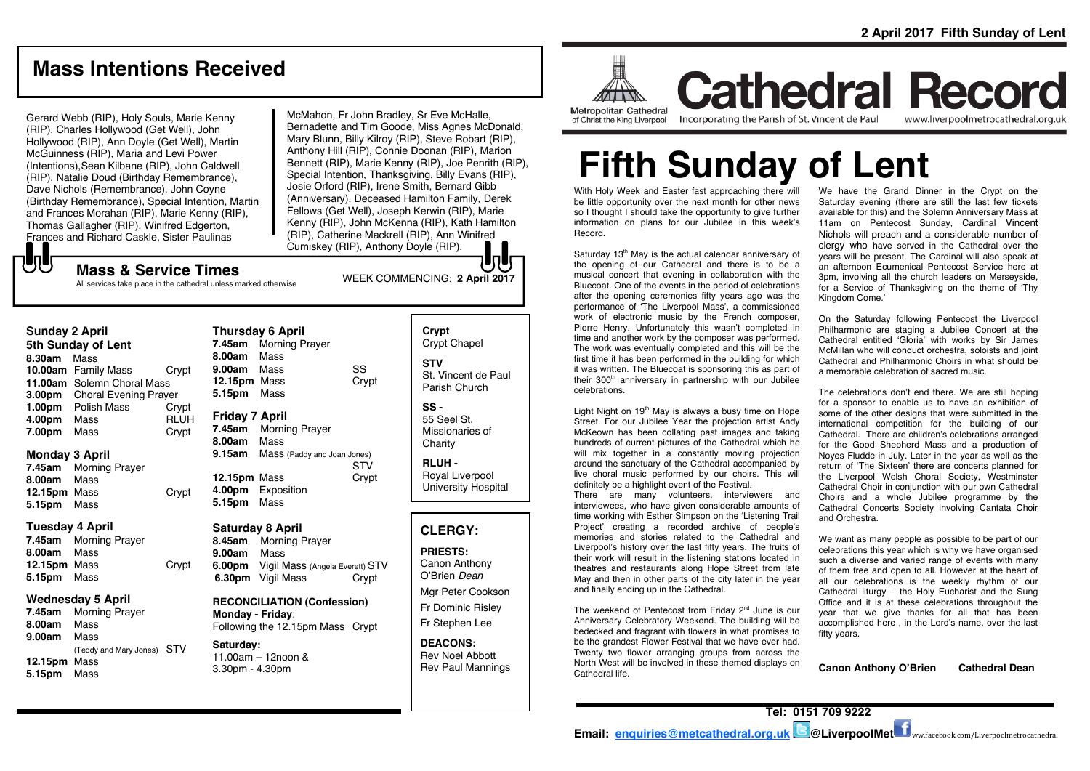# **Mass Intentions Received**

Gerard Webb (RIP), Holy Souls, Marie Kenny (RIP), Charles Hollywood (Get Well), John Hollywood (RIP), Ann Doyle (Get Well), Martin McGuinness (RIP), Maria and Levi Power (Intentions),Sean Kilbane (RIP), John Caldwell (RIP), Natalie Doud (Birthday Remembrance), Dave Nichols (Remembrance), John Coyne (Birthday Remembrance), Special Intention, Martin and Frances Morahan (RIP), Marie Kenny (RIP), Thomas Gallagher (RIP), Winifred Edgerton, Frances and Richard Caskle, Sister Paulinas

McMahon, Fr John Bradley, Sr Eve McHalle, Bernadette and Tim Goode, Miss Agnes McDonald, Mary Blunn, Billy Kilroy (RIP), Steve Robart (RIP), Anthony Hill (RIP), Connie Doonan (RIP), Marion Bennett (RIP), Marie Kenny (RIP), Joe Penrith (RIP), Special Intention, Thanksgiving, Billy Evans (RIP), Josie Orford (RIP), Irene Smith, Bernard Gibb (Anniversary), Deceased Hamilton Family, Derek Fellows (Get Well), Joseph Kerwin (RIP), Marie Kenny (RIP), John McKenna (RIP), Kath Hamilton (RIP), Catherine Mackrell (RIP), Ann Winifred Cumiskey (RIP), Anthony Doyle (RIP).

# **UU**

WEEK COMMENCING: **2 April <sup>2017</sup> Mass & Service Times** All services take place in the cathedral unless marked otherwise

#### **Sunday 2 April**

**5th Sunday of Lent 8.30am** Mass **10.00am** Family Mass Crypt **11.00am** Solemn Choral Mass **3.00pm** Choral Evening Prayer **1.00pm** Polish Mass Crypt **4.00pm** Mass RLUH **7.00pm** Mass Crypt

#### **Monday 3 April**

**7.45am** Morning Prayer **8.00am** Mass **12.15pm** Mass Crypt **5.15pm** Mass

#### **Tuesday 4 April**

**7.45am** Morning Prayer **8.00am** Mass **12.15pm** Mass Crypt **5.15pm** Mass

#### **Wednesday 5 April**

**7.45am** Morning Prayer **8.00am** Mass **9.00am** Mass (Teddy and Mary Jones) STV **12.15pm** Mass **5.15pm** Mass

| <b>Thursday 6 April</b> |                             |       |
|-------------------------|-----------------------------|-------|
| 7.45am                  | <b>Morning Prayer</b>       |       |
| 8.00am                  | Mass                        |       |
| 9.00am Mass             |                             | SS    |
| 12.15pm Mass            |                             | Crypt |
| 5.15pm                  | Mass                        |       |
| Friday 7 April          |                             |       |
| 7.45am                  | <b>Morning Prayer</b>       |       |
| 8.00am                  | Mass                        |       |
| 9.15am                  | Mass (Paddy and Joan Jones) |       |
|                         |                             | STV   |
| 12.15pm                 | Mass                        | Crypt |
| 4.00pm                  | Exposition                  |       |
| 5.15pm Mass             |                             |       |
|                         |                             |       |
|                         |                             |       |

#### **Saturday 8 April 8.45am** Morning Prayer **9.00am** Mass

**6.00pm** Vigil Mass (Angela Everett) STV **6.30pm** Vigil Mass Crypt

**RECONCILIATION (Confession) Monday - Friday**: Following the 12.15pm Mass Crypt

#### **Saturday:** 11.00am – 12noon & 3.30pm - 4.30pm

| Crypt<br><b>Crypt Chapel</b>                |
|---------------------------------------------|
| STV<br>St. Vincent de Paul<br>Parish Church |
| SS -                                        |

55 Seel St, Missionaries of Charity

**RLUH -** Royal Liverpool University Hospital

### **CLERGY:**

**PRIESTS:** Canon Anthony O'Brien *Dean*

Mgr Peter Cookson Fr Dominic Risley Fr Stephen Lee

**DEACONS:** Rev Noel Abbott Rev Paul Mannings



**Cathedral Record** Incorporating the Parish of St. Vincent de Paul of Christ the King Liverpool

www.liverpoolmetrocathedral.org.uk

# **Fifth Sunday of Lent**

With Holy Week and Easter fast approaching there will be little opportunity over the next month for other news so I thought I should take the opportunity to give further information on plans for our Jubilee in this week's Record.

Saturday 13<sup>th</sup> May is the actual calendar anniversary of the opening of our Cathedral and there is to be a musical concert that evening in collaboration with the Bluecoat. One of the events in the period of celebrations after the opening ceremonies fifty years ago was the performance of 'The Liverpool Mass', a commissioned work of electronic music by the French composer, Pierre Henry. Unfortunately this wasn't completed in time and another work by the composer was performed. The work was eventually completed and this will be the first time it has been performed in the building for which it was written. The Bluecoat is sponsoring this as part of their 300<sup>th</sup> anniversary in partnership with our Jubilee celebrations.

Light Night on  $19<sup>th</sup>$  May is always a busy time on Hope Street. For our Jubilee Year the projection artist Andy McKeown has been collating past images and taking hundreds of current pictures of the Cathedral which he will mix together in a constantly moving projection around the sanctuary of the Cathedral accompanied by live choral music performed by our choirs. This will definitely be a highlight event of the Festival.

There are many volunteers, interviewers and interviewees, who have given considerable amounts of time working with Esther Simpson on the 'Listening Trail Project' creating a recorded archive of people's memories and stories related to the Cathedral and Liverpool's history over the last fifty years. The fruits of their work will result in the listening stations located in theatres and restaurants along Hope Street from late May and then in other parts of the city later in the year and finally ending up in the Cathedral.

The weekend of Pentecost from Friday 2<sup>nd</sup> June is our Anniversary Celebratory Weekend. The building will be bedecked and fragrant with flowers in what promises to be the grandest Flower Festival that we have ever had. Twenty two flower arranging groups from across the North West will be involved in these themed displays on Cathedral life.

We have the Grand Dinner in the Crypt on the Saturday evening (there are still the last few tickets available for this) and the Solemn Anniversary Mass at 11am on Pentecost Sunday, Cardinal Vincent Nichols will preach and a considerable number of clergy who have served in the Cathedral over the years will be present. The Cardinal will also speak at an afternoon Ecumenical Pentecost Service here at 3pm, involving all the church leaders on Merseyside, for a Service of Thanksgiving on the theme of 'Thy Kingdom Come.'

On the Saturday following Pentecost the Liverpool Philharmonic are staging a Jubilee Concert at the Cathedral entitled 'Gloria' with works by Sir James McMillan who will conduct orchestra, soloists and joint Cathedral and Philharmonic Choirs in what should be a memorable celebration of sacred music.

The celebrations don't end there. We are still hoping for a sponsor to enable us to have an exhibition of some of the other designs that were submitted in the international competition for the building of our Cathedral. There are children's celebrations arranged for the Good Shepherd Mass and a production of Noyes Fludde in July. Later in the year as well as the return of 'The Sixteen' there are concerts planned for the Liverpool Welsh Choral Society, Westminster Cathedral Choir in conjunction with our own Cathedral Choirs and a whole Jubilee programme by the Cathedral Concerts Society involving Cantata Choir and Orchestra.

We want as many people as possible to be part of our celebrations this year which is why we have organised such a diverse and varied range of events with many of them free and open to all. However at the heart of all our celebrations is the weekly rhythm of our Cathedral liturgy – the Holy Eucharist and the Sung Office and it is at these celebrations throughout the year that we give thanks for all that has been accomplished here , in the Lord's name, over the last fifty years.

**Canon Anthony O'Brien Cathedral Dean**